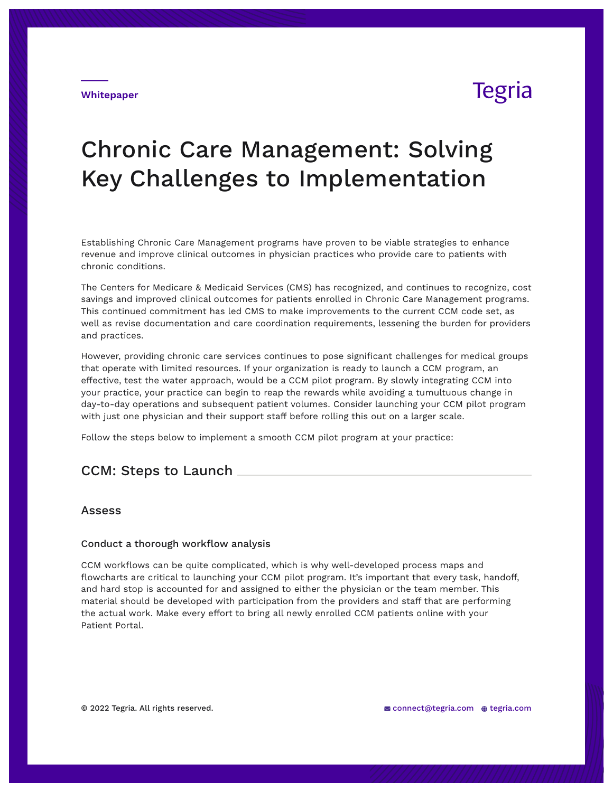**Whitepaper**

## Tegria

# Chronic Care Management: Solving Key Challenges to Implementation

Establishing Chronic Care Management programs have proven to be viable strategies to enhance revenue and improve clinical outcomes in physician practices who provide care to patients with chronic conditions.

The Centers for Medicare & Medicaid Services (CMS) has recognized, and continues to recognize, cost savings and improved clinical outcomes for patients enrolled in Chronic Care Management programs. This continued commitment has led CMS to make improvements to the current CCM code set, as well as revise documentation and care coordination requirements, lessening the burden for providers and practices.

However, providing chronic care services continues to pose significant challenges for medical groups that operate with limited resources. If your organization is ready to launch a CCM program, an effective, test the water approach, would be a CCM pilot program. By slowly integrating CCM into your practice, your practice can begin to reap the rewards while avoiding a tumultuous change in day-to-day operations and subsequent patient volumes. Consider launching your CCM pilot program with just one physician and their support staff before rolling this out on a larger scale.

Follow the steps below to implement a smooth CCM pilot program at your practice:

## CCM: Steps to Launch

### Assess

#### Conduct a thorough workflow analysis

CCM workflows can be quite complicated, which is why well-developed process maps and flowcharts are critical to launching your CCM pilot program. It's important that every task, handoff, and hard stop is accounted for and assigned to either the physician or the team member. This material should be developed with participation from the providers and staff that are performing the actual work. Make every effort to bring all newly enrolled CCM patients online with your Patient Portal.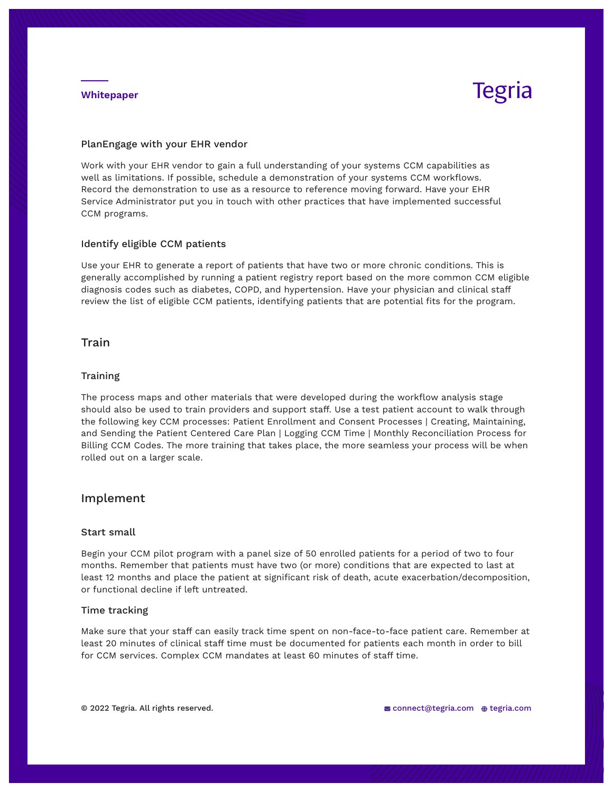#### **Whitepaper**

# **Tegria**

#### PlanEngage with your EHR vendor

Work with your EHR vendor to gain a full understanding of your systems CCM capabilities as well as limitations. If possible, schedule a demonstration of your systems CCM workflows. Record the demonstration to use as a resource to reference moving forward. Have your EHR Service Administrator put you in touch with other practices that have implemented successful CCM programs.

#### Identify eligible CCM patients

Use your EHR to generate a report of patients that have two or more chronic conditions. This is generally accomplished by running a patient registry report based on the more common CCM eligible diagnosis codes such as diabetes, COPD, and hypertension. Have your physician and clinical staff review the list of eligible CCM patients, identifying patients that are potential fits for the program.

### **Train**

#### **Training**

The process maps and other materials that were developed during the workflow analysis stage should also be used to train providers and support staff. Use a test patient account to walk through the following key CCM processes: Patient Enrollment and Consent Processes | Creating, Maintaining, and Sending the Patient Centered Care Plan | Logging CCM Time | Monthly Reconciliation Process for Billing CCM Codes. The more training that takes place, the more seamless your process will be when rolled out on a larger scale.

### Implement

#### Start small

Begin your CCM pilot program with a panel size of 50 enrolled patients for a period of two to four months. Remember that patients must have two (or more) conditions that are expected to last at least 12 months and place the patient at significant risk of death, acute exacerbation/decomposition, or functional decline if left untreated.

#### Time tracking

Make sure that your staff can easily track time spent on non-face-to-face patient care. Remember at least 20 minutes of clinical staff time must be documented for patients each month in order to bill for CCM services. Complex CCM mandates at least 60 minutes of staff time.